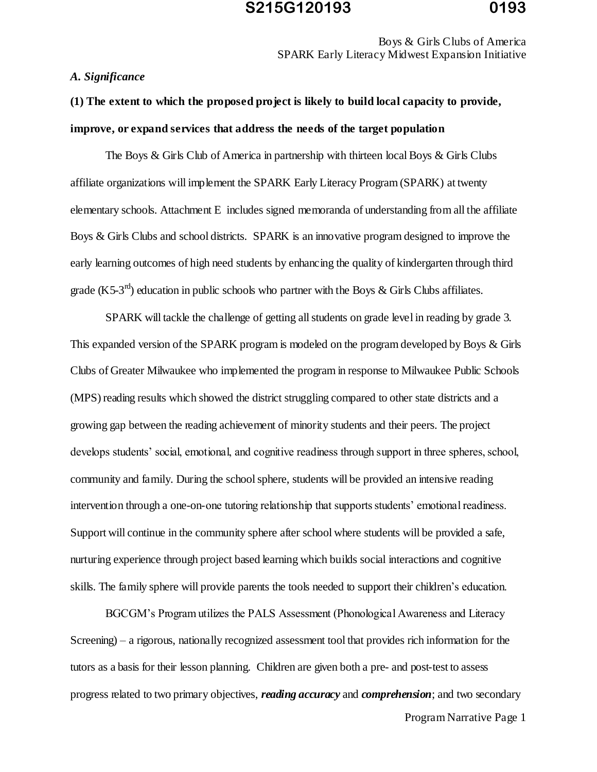### Boys & Girls Clubs of America SPARK Early Literacy Midwest Expansion Initiative

#### *A. Significance*

# **(1) The extent to which the proposed project is likely to build local capacity to provide, improve, or expand services that address the needs of the target population**

The Boys  $\&$  Girls Club of America in partnership with thirteen local Boys  $\&$  Girls Clubs affiliate organizations will implement the SPARK Early Literacy Program (SPARK) at twenty elementary schools. Attachment E includes signed memoranda of understanding from all the affiliate Boys & Girls Clubs and school districts. SPARK is an innovative program designed to improve the early learning outcomes of high need students by enhancing the quality of kindergarten through third grade (K5-3<sup>rd</sup>) education in public schools who partner with the Boys & Girls Clubs affiliates.

SPARK will tackle the challenge of getting all students on grade level in reading by grade 3. This expanded version of the SPARK program is modeled on the program developed by Boys & Girls Clubs of Greater Milwaukee who implemented the program in response to Milwaukee Public Schools (MPS) reading results which showed the district struggling compared to other state districts and a growing gap between the reading achievement of minority students and their peers. The project develops students' social, emotional, and cognitive readiness through support in three spheres, school, community and family. During the school sphere, students will be provided an intensive reading intervention through a one-on-one tutoring relationship that supports students' emotional readiness. Support will continue in the community sphere after school where students will be provided a safe, nurturing experience through project based learning which builds social interactions and cognitive skills. The family sphere will provide parents the tools needed to support their children's education.

BGCGM's Program utilizes the PALS Assessment (Phonological Awareness and Literacy Screening) – a rigorous, nationally recognized assessment tool that provides rich information for the tutors as a basis for their lesson planning. Children are given both a pre- and post-test to assess progress related to two primary objectives, *reading accuracy* and *comprehension*; and two secondary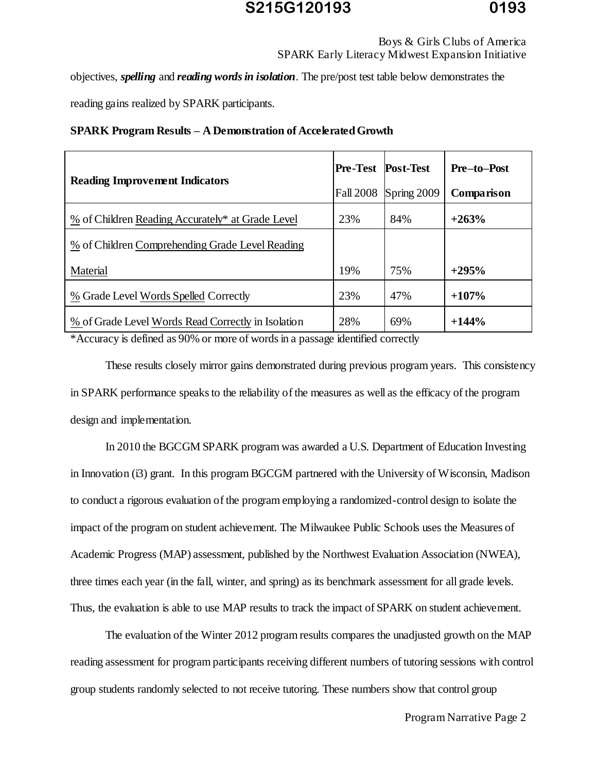#### Boys & Girls Clubs of America SPARK Early Literacy Midwest Expansion Initiative

objectives, *spelling* and *reading words in isolation*. The pre/post test table below demonstrates the

reading gains realized by SPARK participants.

|  |  |  | <b>SPARK Program Results - A Demonstration of Accelerated Growth</b> |
|--|--|--|----------------------------------------------------------------------|
|--|--|--|----------------------------------------------------------------------|

| <b>Reading Improvement Indicators</b>              | <b>Pre-Test Post-Test</b><br><b>Fall 2008</b> | Spring 2009 | <b>Pre-to-Post</b><br>Comparison |
|----------------------------------------------------|-----------------------------------------------|-------------|----------------------------------|
| % of Children Reading Accurately* at Grade Level   | 23%                                           | 84%         | $+263%$                          |
| % of Children Comprehending Grade Level Reading    |                                               |             |                                  |
| Material                                           | 19%                                           | 75%         | $+295%$                          |
| % Grade Level Words Spelled Correctly              | 23%                                           | 47%         | $+107%$                          |
| % of Grade Level Words Read Correctly in Isolation | 28%                                           | 69%         | $+144%$                          |

\*Accuracy is defined as 90% or more of words in a passage identified correctly

These results closely mirror gains demonstrated during previous program years. This consistency in SPARK performance speaks to the reliability of the measures as well as the efficacy of the program design and implementation.

In 2010 the BGCGM SPARK program was awarded a U.S. Department of Education Investing in Innovation (i3) grant. In this program BGCGM partnered with the University of Wisconsin, Madison to conduct a rigorous evaluation of the program employing a randomized-control design to isolate the impact of the program on student achievement. The Milwaukee Public Schools uses the Measures of Academic Progress (MAP) assessment, published by the Northwest Evaluation Association (NWEA), three times each year (in the fall, winter, and spring) as its benchmark assessment for all grade levels. Thus, the evaluation is able to use MAP results to track the impact of SPARK on student achievement.

The evaluation of the Winter 2012 program results compares the unadjusted growth on the MAP reading assessment for program participants receiving different numbers of tutoring sessions with control group students randomly selected to not receive tutoring. These numbers show that control group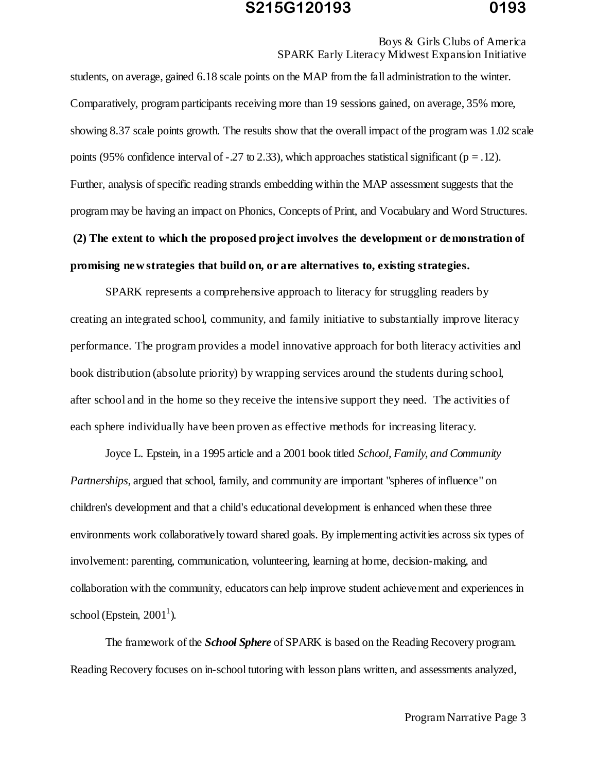#### Boys & Girls Clubs of America SPARK Early Literacy Midwest Expansion Initiative

students, on average, gained 6.18 scale points on the MAP from the fall administration to the winter. Comparatively, program participants receiving more than 19 sessions gained, on average, 35% more, showing 8.37 scale points growth. The results show that the overall impact of the program was 1.02 scale points (95% confidence interval of -.27 to 2.33), which approaches statistical significant ( $p = .12$ ). Further, analysis of specific reading strands embedding within the MAP assessment suggests that the program may be having an impact on Phonics, Concepts of Print, and Vocabulary and Word Structures.

# **(2) The extent to which the proposed project involves the development or demonstration of promising new strategies that build on, or are alternatives to, existing strategies.**

 SPARK represents a comprehensive approach to literacy for struggling readers by creating an integrated school, community, and family initiative to substantially improve literacy performance. The program provides a model innovative approach for both literacy activities and book distribution (absolute priority) by wrapping services around the students during school, after school and in the home so they receive the intensive support they need. The activities of each sphere individually have been proven as effective methods for increasing literacy.

Joyce L. Epstein, in a 1995 article and a 2001 book titled *School, Family, and Community Partnerships,* argued that school, family, and community are important "spheres of influence" on children's development and that a child's educational development is enhanced when these three environments work collaboratively toward shared goals. By implementing activities across six types of involvement: parenting, communication, volunteering, learning at home, decision-making, and collaboration with the community, educators can help improve student achievement and experiences in school (Epstein,  $2001^1$ ).

The framework of the *School Sphere* of SPARK is based on the Reading Recovery program. Reading Recovery focuses on in-school tutoring with lesson plans written, and assessments analyzed,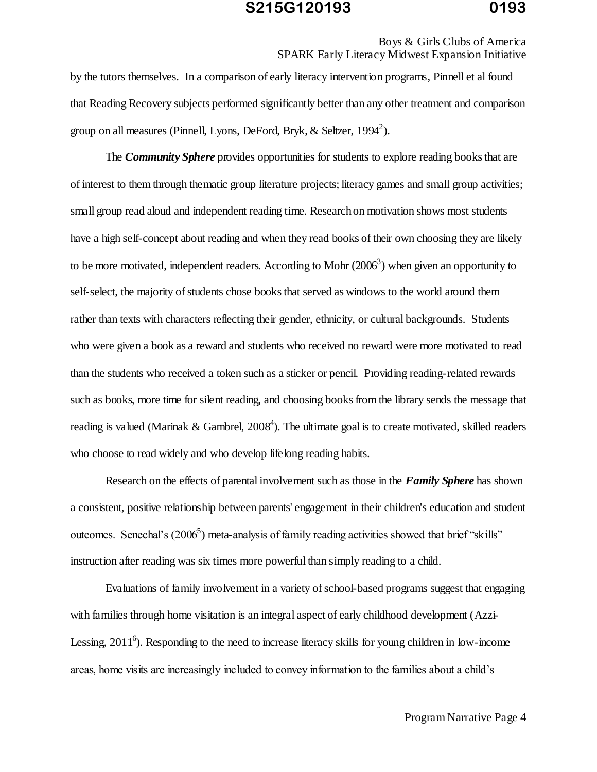#### Boys & Girls Clubs of America SPARK Early Literacy Midwest Expansion Initiative

by the tutors themselves. In a comparison of early literacy intervention programs, Pinnell et al found that Reading Recovery subjects performed significantly better than any other treatment and comparison group on all measures (Pinnell, Lyons, DeFord, Bryk, & Seltzer, 1994<sup>2</sup>).

The *Community Sphere* provides opportunities for students to explore reading books that are of interest to them through thematic group literature projects; literacy games and small group activities; small group read aloud and independent reading time. Research on motivation shows most students have a high self-concept about reading and when they read books of their own choosing they are likely to be more motivated, independent readers. According to Mohr  $(2006^3)$  when given an opportunity to self-select, the majority of students chose books that served as windows to the world around them rather than texts with characters reflecting their gender, ethnicity, or cultural backgrounds. Students who were given a book as a reward and students who received no reward were more motivated to read than the students who received a token such as a sticker or pencil. Providing reading-related rewards such as books, more time for silent reading, and choosing books from the library sends the message that reading is valued (Marinak & Gambrel,  $2008<sup>4</sup>$ ). The ultimate goal is to create motivated, skilled readers who choose to read widely and who develop lifelong reading habits.

Research on the effects of parental involvement such as those in the *Family Sphere* has shown a consistent, positive relationship between parents' engagement in their children's education and student outcomes. Senechal's  $(2006^5)$  meta-analysis of family reading activities showed that brief "skills" instruction after reading was six times more powerful than simply reading to a child.

Evaluations of family involvement in a variety of school-based programs suggest that engaging with families through home visitation is an integral aspect of early childhood development (Azzi-Lessing,  $2011^6$ ). Responding to the need to increase literacy skills for young children in low-income areas, home visits are increasingly included to convey information to the families about a child's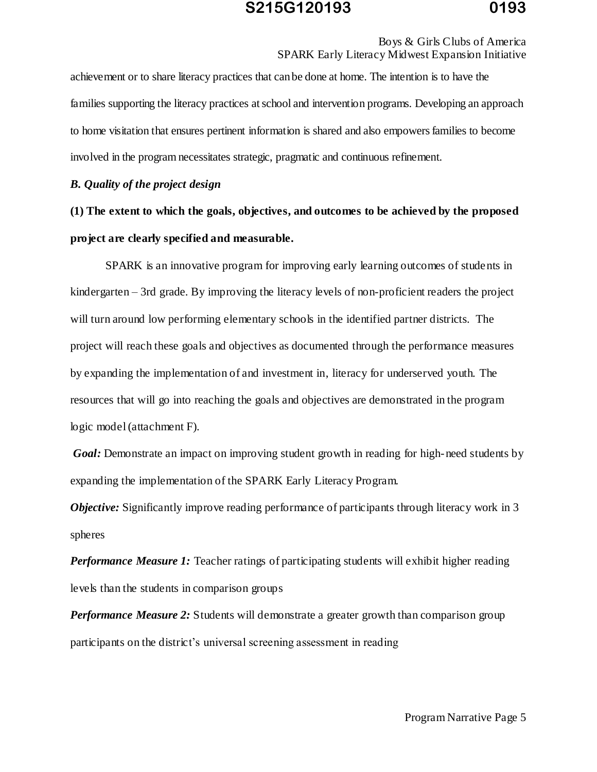#### Boys & Girls Clubs of America SPARK Early Literacy Midwest Expansion Initiative

achievement or to share literacy practices that can be done at home. The intention is to have the families supporting the literacy practices at school and intervention programs. Developing an approach to home visitation that ensures pertinent information is shared and also empowers families to become involved in the program necessitates strategic, pragmatic and continuous refinement.

#### *B. Quality of the project design*

**(1) The extent to which the goals, objectives, and outcomes to be achieved by the proposed project are clearly specified and measurable.** 

SPARK is an innovative program for improving early learning outcomes of students in kindergarten – 3rd grade. By improving the literacy levels of non-proficient readers the project will turn around low performing elementary schools in the identified partner districts. The project will reach these goals and objectives as documented through the performance measures by expanding the implementation of and investment in, literacy for underserved youth. The resources that will go into reaching the goals and objectives are demonstrated in the program logic model (attachment F).

*Goal:* Demonstrate an impact on improving student growth in reading for high-need students by expanding the implementation of the SPARK Early Literacy Program.

*Objective:* Significantly improve reading performance of participants through literacy work in 3 spheres

**Performance Measure 1:** Teacher ratings of participating students will exhibit higher reading levels than the students in comparison groups

*Performance Measure 2:* Students will demonstrate a greater growth than comparison group participants on the district's universal screening assessment in reading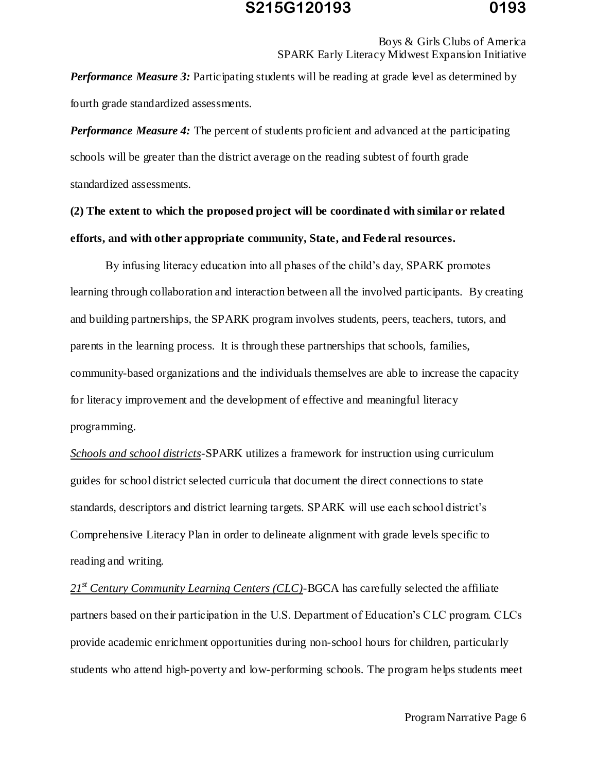### Boys & Girls Clubs of America SPARK Early Literacy Midwest Expansion Initiative

*Performance Measure 3:* Participating students will be reading at grade level as determined by fourth grade standardized assessments.

*Performance Measure 4:* The percent of students proficient and advanced at the participating schools will be greater than the district average on the reading subtest of fourth grade standardized assessments.

# **(2) The extent to which the proposed project will be coordinated with similar or related efforts, and with other appropriate community, State, and Federal resources.**

By infusing literacy education into all phases of the child's day, SPARK promotes learning through collaboration and interaction between all the involved participants. By creating and building partnerships, the SPARK program involves students, peers, teachers, tutors, and parents in the learning process. It is through these partnerships that schools, families, community-based organizations and the individuals themselves are able to increase the capacity for literacy improvement and the development of effective and meaningful literacy programming.

*Schools and school districts*-SPARK utilizes a framework for instruction using curriculum guides for school district selected curricula that document the direct connections to state standards, descriptors and district learning targets. SPARK will use each school district's Comprehensive Literacy Plan in order to delineate alignment with grade levels specific to reading and writing.

*21st Century Community Learning Centers (CLC)*-BGCA has carefully selected the affiliate partners based on their participation in the U.S. Department of Education's CLC program. CLCs provide academic enrichment opportunities during non-school hours for children, particularly students who attend high-poverty and low-performing schools. The program helps students meet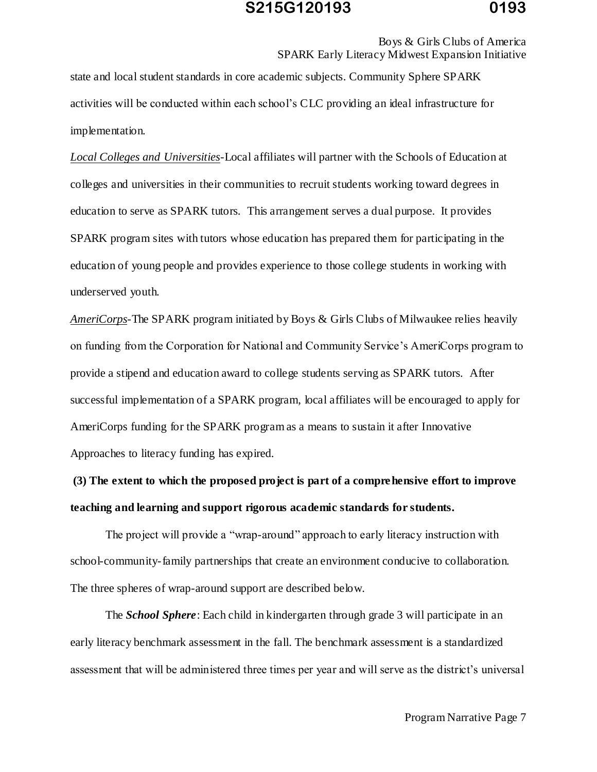Boys & Girls Clubs of America SPARK Early Literacy Midwest Expansion Initiative

state and local student standards in core academic subjects. Community Sphere SPARK activities will be conducted within each school's CLC providing an ideal infrastructure for implementation.

*Local Colleges and Universities*-Local affiliates will partner with the Schools of Education at colleges and universities in their communities to recruit students working toward degrees in education to serve as SPARK tutors. This arrangement serves a dual purpose. It provides SPARK program sites with tutors whose education has prepared them for participating in the education of young people and provides experience to those college students in working with underserved youth.

*AmeriCorps*-The SPARK program initiated by Boys & Girls Clubs of Milwaukee relies heavily on funding from the Corporation for National and Community Service's AmeriCorps program to provide a stipend and education award to college students serving as SPARK tutors. After successful implementation of a SPARK program, local affiliates will be encouraged to apply for AmeriCorps funding for the SPARK program as a means to sustain it after Innovative Approaches to literacy funding has expired.

# **(3) The extent to which the proposed project is part of a comprehensive effort to improve teaching and learning and support rigorous academic standards for students.**

The project will provide a "wrap-around" approach to early literacy instruction with school-community-family partnerships that create an environment conducive to collaboration. The three spheres of wrap-around support are described below.

The *School Sphere*: Each child in kindergarten through grade 3 will participate in an early literacy benchmark assessment in the fall. The benchmark assessment is a standardized assessment that will be administered three times per year and will serve as the district's universal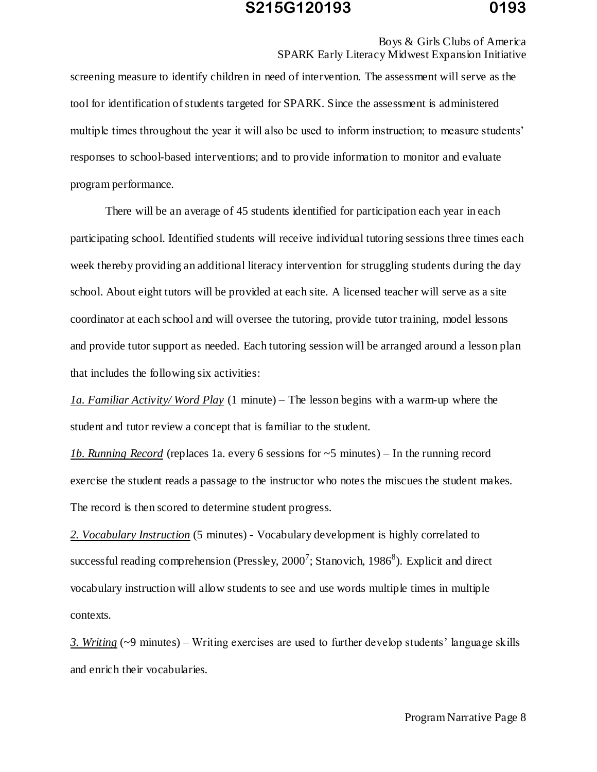#### Boys & Girls Clubs of America SPARK Early Literacy Midwest Expansion Initiative

screening measure to identify children in need of intervention. The assessment will serve as the tool for identification of students targeted for SPARK. Since the assessment is administered multiple times throughout the year it will also be used to inform instruction; to measure students' responses to school-based interventions; and to provide information to monitor and evaluate program performance.

There will be an average of 45 students identified for participation each year in each participating school. Identified students will receive individual tutoring sessions three times each week thereby providing an additional literacy intervention for struggling students during the day school. About eight tutors will be provided at each site. A licensed teacher will serve as a site coordinator at each school and will oversee the tutoring, provide tutor training, model lessons and provide tutor support as needed. Each tutoring session will be arranged around a lesson plan that includes the following six activities:

*1a. Familiar Activity/ Word Play* (1 minute) – The lesson begins with a warm-up where the student and tutor review a concept that is familiar to the student.

*1b. Running Record* (replaces 1a. every 6 sessions for ~5 minutes) – In the running record exercise the student reads a passage to the instructor who notes the miscues the student makes. The record is then scored to determine student progress.

*2. Vocabulary Instruction* (5 minutes) - Vocabulary development is highly correlated to successful reading comprehension (Pressley,  $2000^7$ ; Stanovich, 1986<sup>8</sup>). Explicit and direct vocabulary instruction will allow students to see and use words multiple times in multiple contexts.

*3. Writing* (~9 minutes) – Writing exercises are used to further develop students' language skills and enrich their vocabularies.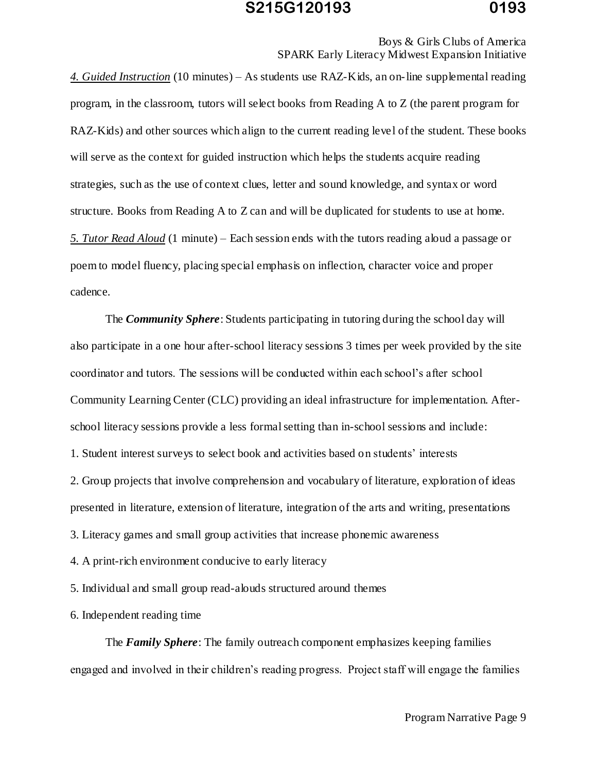Boys & Girls Clubs of America SPARK Early Literacy Midwest Expansion Initiative

*4. Guided Instruction* (10 minutes) – As students use RAZ-Kids, an on-line supplemental reading program, in the classroom, tutors will select books from Reading A to Z (the parent program for RAZ-Kids) and other sources which align to the current reading level of the student. These books will serve as the context for guided instruction which helps the students acquire reading strategies, such as the use of context clues, letter and sound knowledge, and syntax or word structure. Books from Reading A to Z can and will be duplicated for students to use at home. *5. Tutor Read Aloud* (1 minute) – Each session ends with the tutors reading aloud a passage or poem to model fluency, placing special emphasis on inflection, character voice and proper cadence.

The *Community Sphere*: Students participating in tutoring during the school day will also participate in a one hour after-school literacy sessions 3 times per week provided by the site coordinator and tutors. The sessions will be conducted within each school's after school Community Learning Center (CLC) providing an ideal infrastructure for implementation. Afterschool literacy sessions provide a less formal setting than in-school sessions and include: 1. Student interest surveys to select book and activities based on students' interests 2. Group projects that involve comprehension and vocabulary of literature, exploration of ideas presented in literature, extension of literature, integration of the arts and writing, presentations 3. Literacy games and small group activities that increase phonemic awareness 4. A print-rich environment conducive to early literacy

5. Individual and small group read-alouds structured around themes

6. Independent reading time

The *Family Sphere*: The family outreach component emphasizes keeping families engaged and involved in their children's reading progress. Project staff will engage the families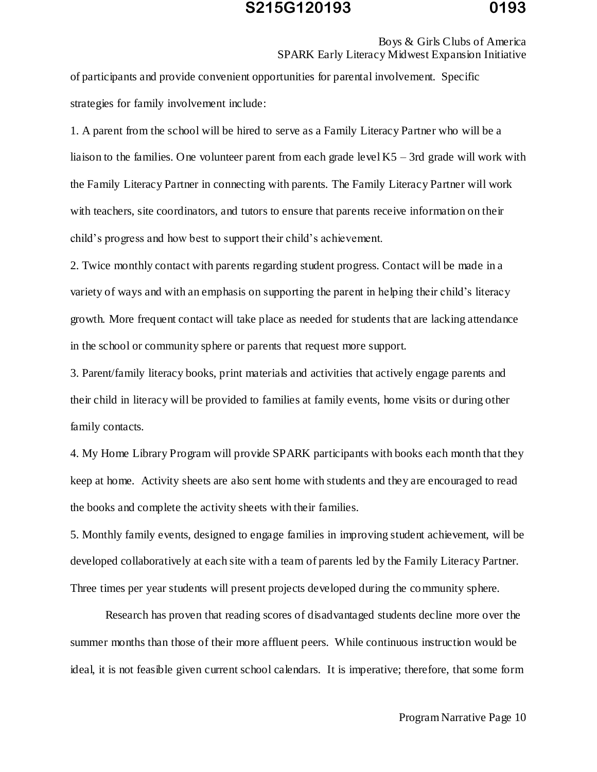### Boys & Girls Clubs of America SPARK Early Literacy Midwest Expansion Initiative

of participants and provide convenient opportunities for parental involvement. Specific strategies for family involvement include:

1. A parent from the school will be hired to serve as a Family Literacy Partner who will be a liaison to the families. One volunteer parent from each grade level  $K5 - 3$ rd grade will work with the Family Literacy Partner in connecting with parents. The Family Literacy Partner will work with teachers, site coordinators, and tutors to ensure that parents receive information on their child's progress and how best to support their child's achievement.

2. Twice monthly contact with parents regarding student progress. Contact will be made in a variety of ways and with an emphasis on supporting the parent in helping their child's literacy growth. More frequent contact will take place as needed for students that are lacking attendance in the school or community sphere or parents that request more support.

3. Parent/family literacy books, print materials and activities that actively engage parents and their child in literacy will be provided to families at family events, home visits or during other family contacts.

4. My Home Library Program will provide SPARK participants with books each month that they keep at home. Activity sheets are also sent home with students and they are encouraged to read the books and complete the activity sheets with their families.

5. Monthly family events, designed to engage families in improving student achievement, will be developed collaboratively at each site with a team of parents led by the Family Literacy Partner. Three times per year students will present projects developed during the community sphere.

Research has proven that reading scores of disadvantaged students decline more over the summer months than those of their more affluent peers. While continuous instruction would be ideal, it is not feasible given current school calendars. It is imperative; therefore, that some form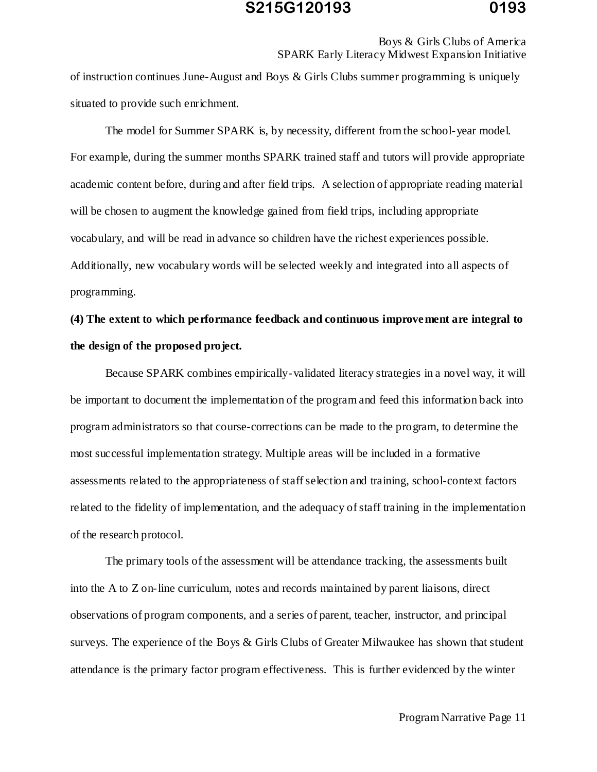#### Boys & Girls Clubs of America SPARK Early Literacy Midwest Expansion Initiative

of instruction continues June-August and Boys & Girls Clubs summer programming is uniquely situated to provide such enrichment.

The model for Summer SPARK is, by necessity, different from the school-year model. For example, during the summer months SPARK trained staff and tutors will provide appropriate academic content before, during and after field trips. A selection of appropriate reading material will be chosen to augment the knowledge gained from field trips, including appropriate vocabulary, and will be read in advance so children have the richest experiences possible. Additionally, new vocabulary words will be selected weekly and integrated into all aspects of programming.

# **(4) The extent to which performance feedback and continuous improvement are integral to the design of the proposed project.**

Because SPARK combines empirically-validated literacy strategies in a novel way, it will be important to document the implementation of the program and feed this information back into program administrators so that course-corrections can be made to the program, to determine the most successful implementation strategy. Multiple areas will be included in a formative assessments related to the appropriateness of staff selection and training, school-context factors related to the fidelity of implementation, and the adequacy of staff training in the implementation of the research protocol.

The primary tools of the assessment will be attendance tracking, the assessments built into the A to Z on-line curriculum, notes and records maintained by parent liaisons, direct observations of program components, and a series of parent, teacher, instructor, and principal surveys. The experience of the Boys & Girls Clubs of Greater Milwaukee has shown that student attendance is the primary factor program effectiveness. This is further evidenced by the winter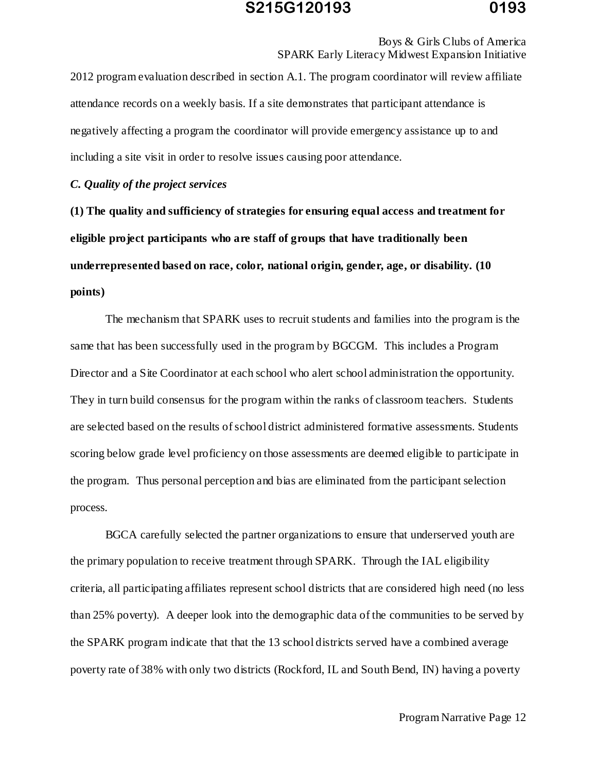#### Boys & Girls Clubs of America SPARK Early Literacy Midwest Expansion Initiative

2012 program evaluation described in section A.1. The program coordinator will review affiliate attendance records on a weekly basis. If a site demonstrates that participant attendance is negatively affecting a program the coordinator will provide emergency assistance up to and including a site visit in order to resolve issues causing poor attendance.

#### *C. Quality of the project services*

**(1) The quality and sufficiency of strategies for ensuring equal access and treatment for eligible project participants who are staff of groups that have traditionally been underrepresented based on race, color, national origin, gender, age, or disability. (10 points)** 

The mechanism that SPARK uses to recruit students and families into the program is the same that has been successfully used in the program by BGCGM. This includes a Program Director and a Site Coordinator at each school who alert school administration the opportunity. They in turn build consensus for the program within the ranks of classroom teachers. Students are selected based on the results of school district administered formative assessments. Students scoring below grade level proficiency on those assessments are deemed eligible to participate in the program. Thus personal perception and bias are eliminated from the participant selection process.

BGCA carefully selected the partner organizations to ensure that underserved youth are the primary population to receive treatment through SPARK. Through the IAL eligibility criteria, all participating affiliates represent school districts that are considered high need (no less than 25% poverty). A deeper look into the demographic data of the communities to be served by the SPARK program indicate that that the 13 school districts served have a combined average poverty rate of 38% with only two districts (Rockford, IL and South Bend, IN) having a poverty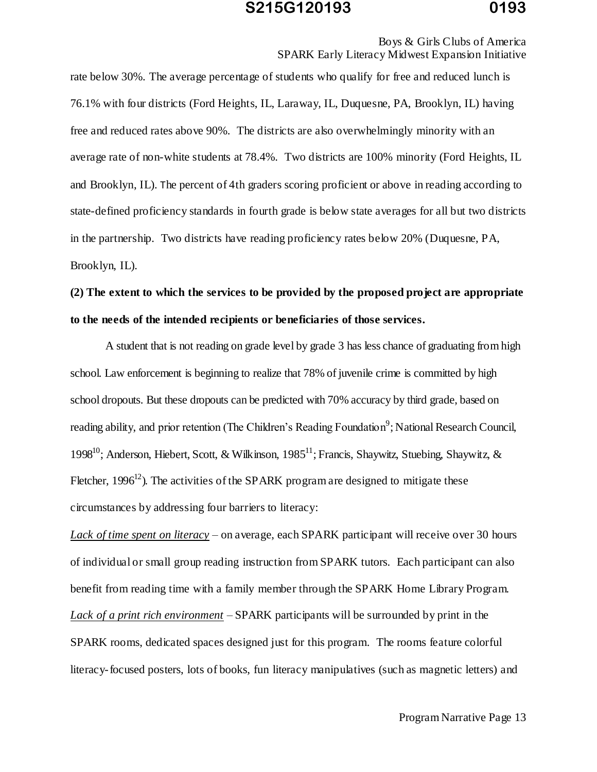Boys & Girls Clubs of America SPARK Early Literacy Midwest Expansion Initiative

rate below 30%. The average percentage of students who qualify for free and reduced lunch is 76.1% with four districts (Ford Heights, IL, Laraway, IL, Duquesne, PA, Brooklyn, IL) having free and reduced rates above 90%. The districts are also overwhelmingly minority with an average rate of non-white students at 78.4%. Two districts are 100% minority (Ford Heights, IL and Brooklyn, IL). The percent of 4th graders scoring proficient or above in reading according to state-defined proficiency standards in fourth grade is below state averages for all but two districts in the partnership. Two districts have reading proficiency rates below 20% (Duquesne, PA, Brooklyn, IL).

**(2) The extent to which the services to be provided by the proposed project are appropriate to the needs of the intended recipients or beneficiaries of those services.** 

A student that is not reading on grade level by grade 3 has less chance of graduating from high school. Law enforcement is beginning to realize that 78% of juvenile crime is committed by high school dropouts. But these dropouts can be predicted with 70% accuracy by third grade, based on reading ability, and prior retention (The Children's Reading Foundation<sup>9</sup>; National Research Council, 1998<sup>10</sup>; Anderson, Hiebert, Scott, & Wilkinson, 1985<sup>11</sup>; Francis, Shaywitz, Stuebing, Shaywitz, & Fletcher,  $1996^{12}$ ). The activities of the SPARK program are designed to mitigate these circumstances by addressing four barriers to literacy:

*Lack of time spent on literacy* – on average, each SPARK participant will receive over 30 hours of individual or small group reading instruction from SPARK tutors. Each participant can also benefit from reading time with a family member through the SPARK Home Library Program. *Lack of a print rich environment* – SPARK participants will be surrounded by print in the SPARK rooms, dedicated spaces designed just for this program. The rooms feature colorful literacy-focused posters, lots of books, fun literacy manipulatives (such as magnetic letters) and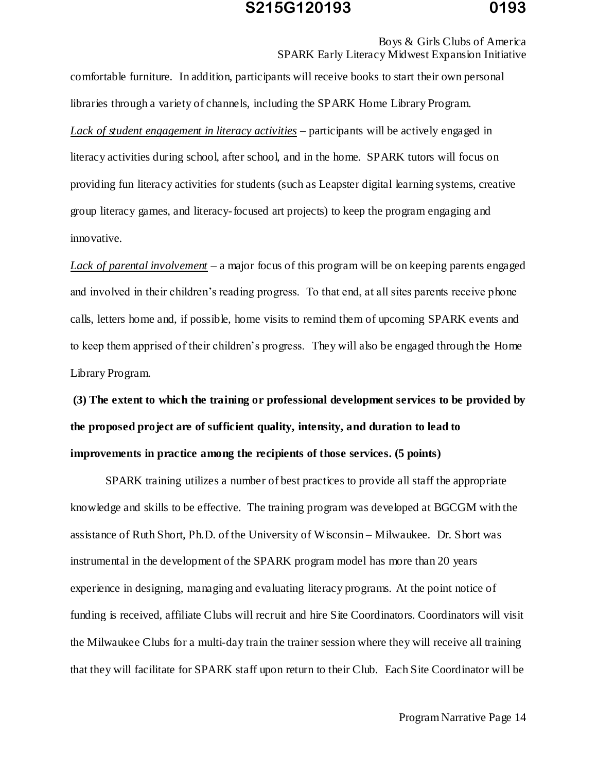#### Boys & Girls Clubs of America SPARK Early Literacy Midwest Expansion Initiative

comfortable furniture. In addition, participants will receive books to start their own personal libraries through a variety of channels, including the SPARK Home Library Program. *Lack of student engagement in literacy activities* – participants will be actively engaged in literacy activities during school, after school, and in the home. SPARK tutors will focus on providing fun literacy activities for students (such as Leapster digital learning systems, creative group literacy games, and literacy-focused art projects) to keep the program engaging and innovative.

*Lack of parental involvement* – a major focus of this program will be on keeping parents engaged and involved in their children's reading progress. To that end, at all sites parents receive phone calls, letters home and, if possible, home visits to remind them of upcoming SPARK events and to keep them apprised of their children's progress. They will also be engaged through the Home Library Program.

**(3) The extent to which the training or professional development services to be provided by the proposed project are of sufficient quality, intensity, and duration to lead to improvements in practice among the recipients of those services. (5 points)** 

SPARK training utilizes a number of best practices to provide all staff the appropriate knowledge and skills to be effective. The training program was developed at BGCGM with the assistance of Ruth Short, Ph.D. of the University of Wisconsin – Milwaukee. Dr. Short was instrumental in the development of the SPARK program model has more than 20 years experience in designing, managing and evaluating literacy programs. At the point notice of funding is received, affiliate Clubs will recruit and hire Site Coordinators. Coordinators will visit the Milwaukee Clubs for a multi-day train the trainer session where they will receive all training that they will facilitate for SPARK staff upon return to their Club. Each Site Coordinator will be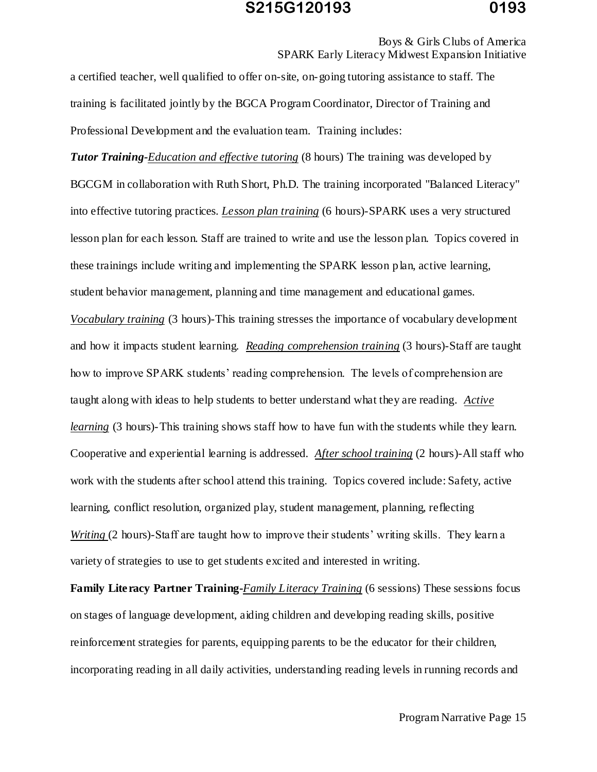Boys & Girls Clubs of America SPARK Early Literacy Midwest Expansion Initiative

a certified teacher, well qualified to offer on-site, on-going tutoring assistance to staff. The training is facilitated jointly by the BGCA Program Coordinator, Director of Training and Professional Development and the evaluation team. Training includes:

*Tutor Training-Education and effective tutoring* (8 hours) The training was developed by BGCGM in collaboration with Ruth Short, Ph.D. The training incorporated "Balanced Literacy" into effective tutoring practices. *Lesson plan training* (6 hours)-SPARK uses a very structured lesson plan for each lesson. Staff are trained to write and use the lesson plan. Topics covered in these trainings include writing and implementing the SPARK lesson plan, active learning, student behavior management, planning and time management and educational games. *Vocabulary training* (3 hours)-This training stresses the importance of vocabulary development

and how it impacts student learning. *Reading comprehension training* (3 hours)-Staff are taught how to improve SPARK students' reading comprehension. The levels of comprehension are taught along with ideas to help students to better understand what they are reading. *Active learning* (3 hours)-This training shows staff how to have fun with the students while they learn. Cooperative and experiential learning is addressed. *After school training* (2 hours)-All staff who work with the students after school attend this training. Topics covered include: Safety, active learning, conflict resolution, organized play, student management, planning, reflecting *Writing (2 hours)-Staff are taught how to improve their students' writing skills. They learn a* variety of strategies to use to get students excited and interested in writing.

**Family Literacy Partner Training-***Family Literacy Training* (6 sessions) These sessions focus on stages of language development, aiding children and developing reading skills, positive reinforcement strategies for parents, equipping parents to be the educator for their children, incorporating reading in all daily activities, understanding reading levels in running records and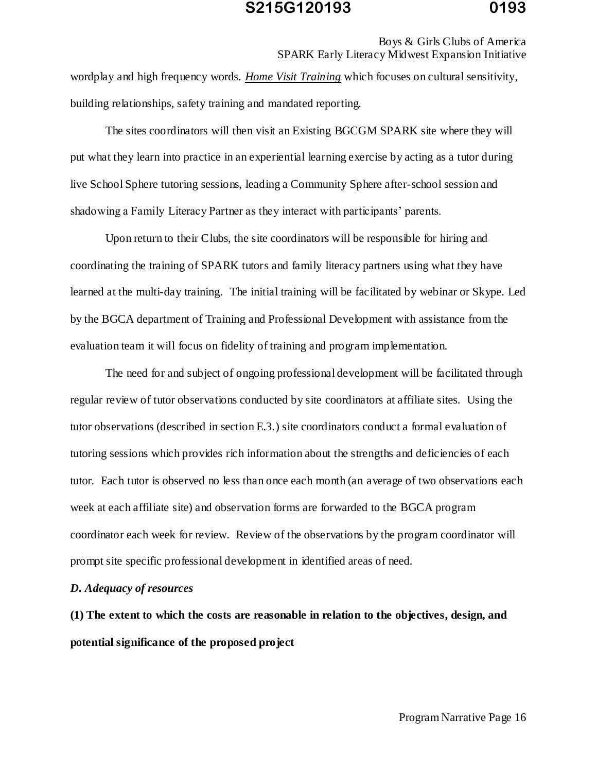Boys & Girls Clubs of America SPARK Early Literacy Midwest Expansion Initiative wordplay and high frequency words. *Home Visit Training* which focuses on cultural sensitivity, building relationships, safety training and mandated reporting.

 The sites coordinators will then visit an Existing BGCGM SPARK site where they will put what they learn into practice in an experiential learning exercise by acting as a tutor during live School Sphere tutoring sessions, leading a Community Sphere after-school session and shadowing a Family Literacy Partner as they interact with participants' parents.

 Upon return to their Clubs, the site coordinators will be responsible for hiring and coordinating the training of SPARK tutors and family literacy partners using what they have learned at the multi-day training. The initial training will be facilitated by webinar or Skype. Led by the BGCA department of Training and Professional Development with assistance from the evaluation team it will focus on fidelity of training and program implementation.

 The need for and subject of ongoing professional development will be facilitated through regular review of tutor observations conducted by site coordinators at affiliate sites. Using the tutor observations (described in section E.3.) site coordinators conduct a formal evaluation of tutoring sessions which provides rich information about the strengths and deficiencies of each tutor. Each tutor is observed no less than once each month (an average of two observations each week at each affiliate site) and observation forms are forwarded to the BGCA program coordinator each week for review. Review of the observations by the program coordinator will prompt site specific professional development in identified areas of need.

#### *D. Adequacy of resources*

**(1) The extent to which the costs are reasonable in relation to the objectives, design, and potential significance of the proposed project**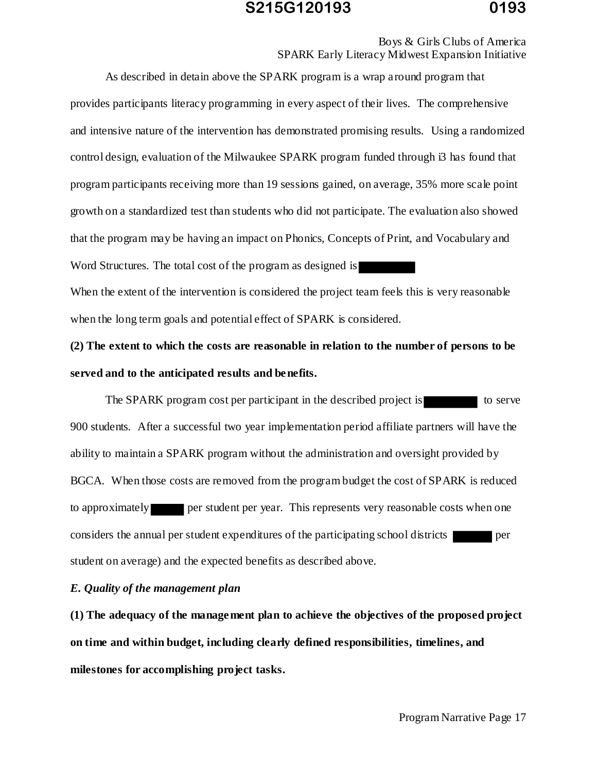Boys & Girls Clubs of America SPARK Early Literacy Midwest Expansion Initiative

As described in detain above the SPARK program is a wrap around program that

provides participants literacy programming in every aspect of their lives. The comprehensive and intensive nature of the intervention has demonstrated promising results. Using a randomized control design, evaluation of the Milwaukee SPARK program funded through i3 has found that program participants receiving more than 19 sessions gained, on average, 35% more scale point growth on a standardized test than students who did not participate. The evaluation also showed that the program may be having an impact on Phonics, Concepts of Print, and Vocabulary and Word Structures. The total cost of the program as designed is

When the extent of the intervention is considered the project team feels this is very reasonable when the long term goals and potential effect of SPARK is considered.

**(2) The extent to which the costs are reasonable in relation to the number of persons to be served and to the anticipated results and benefits.** 

The SPARK program cost per participant in the described project is to serve 900 students. After a successful two year implementation period affiliate partners will have the ability to maintain a SPARK program without the administration and oversight provided by BGCA. When those costs are removed from the program budget the cost of SPARK is reduced to approximately per student per year. This represents very reasonable costs when one considers the annual per student expenditures of the participating school districts per student on average) and the expected benefits as described above.

*E. Quality of the management plan* 

**(1) The adequacy of the management plan to achieve the objectives of the proposed project on time and within budget, including clearly defined responsibilities, timelines, and milestones for accomplishing project tasks.**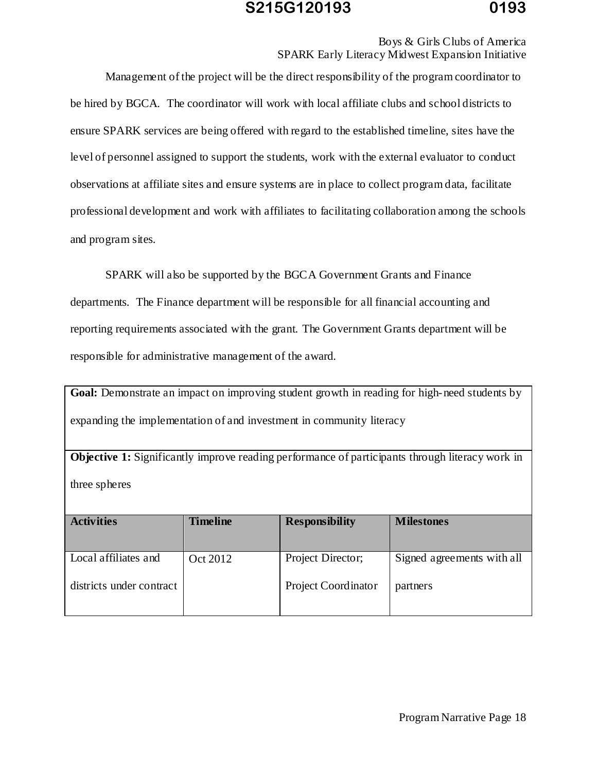Boys & Girls Clubs of America SPARK Early Literacy Midwest Expansion Initiative

Management of the project will be the direct responsibility of the program coordinator to be hired by BGCA. The coordinator will work with local affiliate clubs and school districts to ensure SPARK services are being offered with regard to the established timeline, sites have the level of personnel assigned to support the students, work with the external evaluator to conduct observations at affiliate sites and ensure systems are in place to collect program data, facilitate professional development and work with affiliates to facilitating collaboration among the schools and program sites.

 SPARK will also be supported by the BGCA Government Grants and Finance departments. The Finance department will be responsible for all financial accounting and reporting requirements associated with the grant. The Government Grants department will be responsible for administrative management of the award.

Goal: Demonstrate an impact on improving student growth in reading for high-need students by expanding the implementation of and investment in community literacy

**Objective 1:** Significantly improve reading performance of participants through literacy work in three spheres

| <b>Activities</b>        | <b>Timeline</b> | <b>Responsibility</b> | <b>Milestones</b>          |
|--------------------------|-----------------|-----------------------|----------------------------|
| Local affiliates and     | Oct 2012        | Project Director;     | Signed agreements with all |
| districts under contract |                 | Project Coordinator   | partners                   |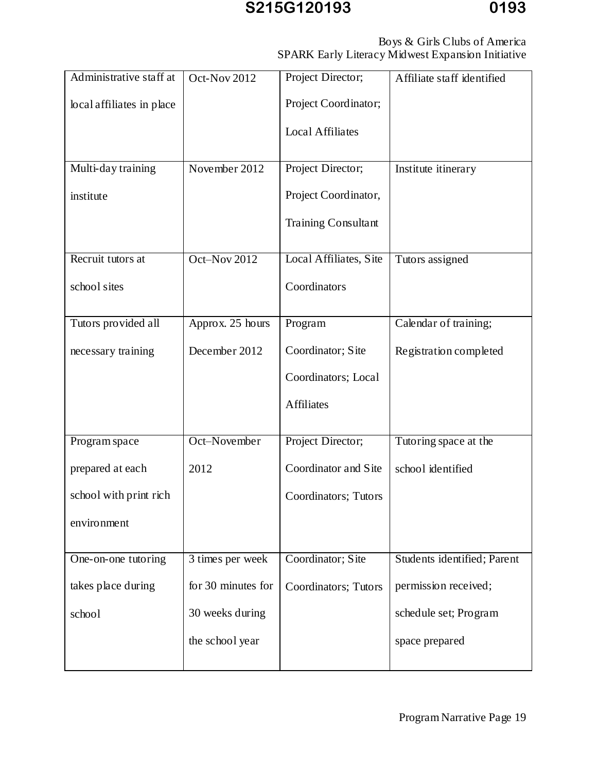#### Boys & Girls Clubs of America SPARK Early Literacy Midwest Expansion Initiative

| Administrative staff at   | Oct-Nov 2012       | Project Director;          | Affiliate staff identified  |
|---------------------------|--------------------|----------------------------|-----------------------------|
| local affiliates in place |                    | Project Coordinator;       |                             |
|                           |                    | <b>Local Affiliates</b>    |                             |
|                           |                    |                            |                             |
| Multi-day training        | November 2012      | Project Director;          | Institute itinerary         |
| institute                 |                    | Project Coordinator,       |                             |
|                           |                    | <b>Training Consultant</b> |                             |
| Recruit tutors at         | Oct-Nov 2012       | Local Affiliates, Site     | Tutors assigned             |
| school sites              |                    | Coordinators               |                             |
|                           |                    |                            |                             |
| Tutors provided all       | Approx. 25 hours   | Program                    | Calendar of training;       |
| necessary training        | December 2012      | Coordinator; Site          | Registration completed      |
|                           |                    | Coordinators; Local        |                             |
|                           |                    | <b>Affiliates</b>          |                             |
|                           |                    |                            |                             |
| Program space             | Oct-November       | Project Director;          | Tutoring space at the       |
| prepared at each          | 2012               | Coordinator and Site       | school identified           |
| school with print rich    |                    | Coordinators; Tutors       |                             |
| environment               |                    |                            |                             |
|                           |                    |                            |                             |
| One-on-one tutoring       | 3 times per week   | Coordinator; Site          | Students identified; Parent |
| takes place during        | for 30 minutes for | Coordinators; Tutors       | permission received;        |
| school                    | 30 weeks during    |                            | schedule set; Program       |
|                           | the school year    |                            | space prepared              |
|                           |                    |                            |                             |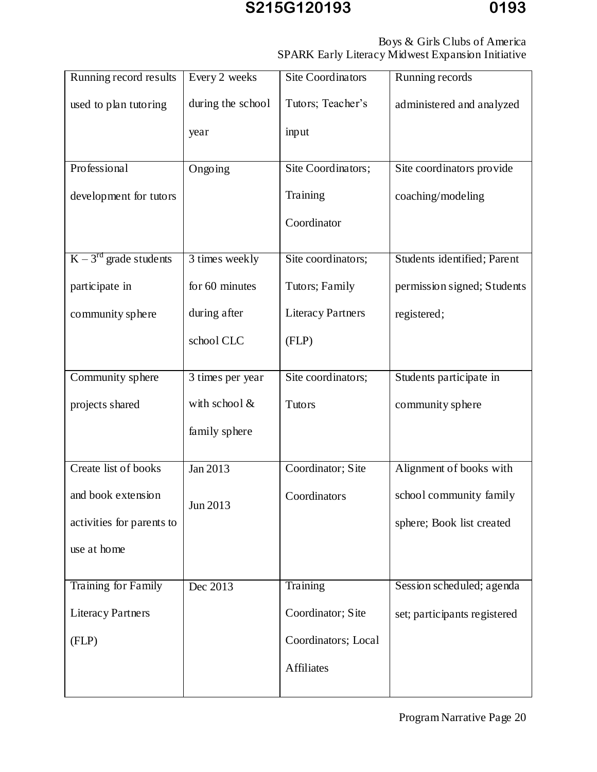#### Boys & Girls Clubs of America SPARK Early Literacy Midwest Expansion Initiative

| Running record results    | Every 2 weeks     | <b>Site Coordinators</b> | Running records              |
|---------------------------|-------------------|--------------------------|------------------------------|
| used to plan tutoring     | during the school | Tutors; Teacher's        | administered and analyzed    |
|                           | year              | input                    |                              |
|                           |                   |                          |                              |
| Professional              | Ongoing           | Site Coordinators;       | Site coordinators provide    |
| development for tutors    |                   | Training                 | coaching/modeling            |
|                           |                   | Coordinator              |                              |
| $K - 3rd$ grade students  | 3 times weekly    | Site coordinators;       | Students identified; Parent  |
| participate in            | for 60 minutes    | Tutors; Family           | permission signed; Students  |
| community sphere          | during after      | <b>Literacy Partners</b> | registered;                  |
|                           | school CLC        | (FLP)                    |                              |
|                           |                   |                          |                              |
| Community sphere          | 3 times per year  | Site coordinators;       | Students participate in      |
| projects shared           | with school &     | Tutors                   | community sphere             |
|                           | family sphere     |                          |                              |
| Create list of books      | Jan 2013          | Coordinator; Site        | Alignment of books with      |
| and book extension        | Jun 2013          | Coordinators             | school community family      |
| activities for parents to |                   |                          | sphere; Book list created    |
| use at home               |                   |                          |                              |
|                           |                   |                          |                              |
| Training for Family       | Dec 2013          | Training                 | Session scheduled; agenda    |
| <b>Literacy Partners</b>  |                   | Coordinator; Site        | set; participants registered |
| (FLP)                     |                   | Coordinators; Local      |                              |
|                           |                   | <b>Affiliates</b>        |                              |
|                           |                   |                          |                              |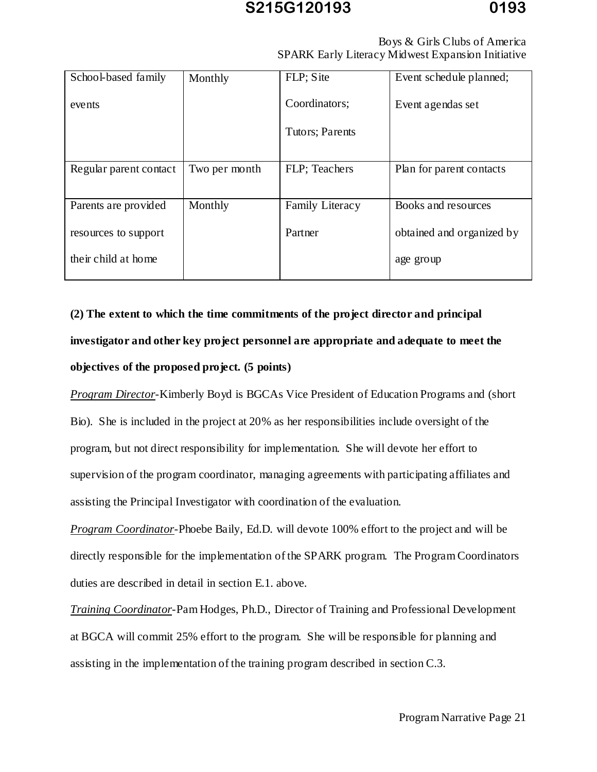| Boys & Girls Clubs of America                            |
|----------------------------------------------------------|
| <b>SPARK Early Literacy Midwest Expansion Initiative</b> |

| School-based family    | Monthly       | FLP; Site                        | Event schedule planned;   |
|------------------------|---------------|----------------------------------|---------------------------|
| events                 |               | Coordinators;<br>Tutors; Parents | Event agendas set         |
| Regular parent contact | Two per month | FLP; Teachers                    | Plan for parent contacts  |
|                        |               |                                  |                           |
| Parents are provided   | Monthly       | Family Literacy                  | Books and resources       |
| resources to support   |               | Partner                          | obtained and organized by |
| their child at home    |               |                                  | age group                 |
|                        |               |                                  |                           |

**(2) The extent to which the time commitments of the project director and principal investigator and other key project personnel are appropriate and adequate to meet the objectives of the proposed project. (5 points)** 

*Program Director*-Kimberly Boyd is BGCAs Vice President of Education Programs and (short Bio). She is included in the project at 20% as her responsibilities include oversight of the program, but not direct responsibility for implementation. She will devote her effort to supervision of the program coordinator, managing agreements with participating affiliates and assisting the Principal Investigator with coordination of the evaluation.

*Program Coordinator*-Phoebe Baily, Ed.D. will devote 100% effort to the project and will be directly responsible for the implementation of the SPARK program. The Program Coordinators duties are described in detail in section E.1. above.

*Training Coordinator*-Pam Hodges, Ph.D., Director of Training and Professional Development at BGCA will commit 25% effort to the program. She will be responsible for planning and assisting in the implementation of the training program described in section C.3.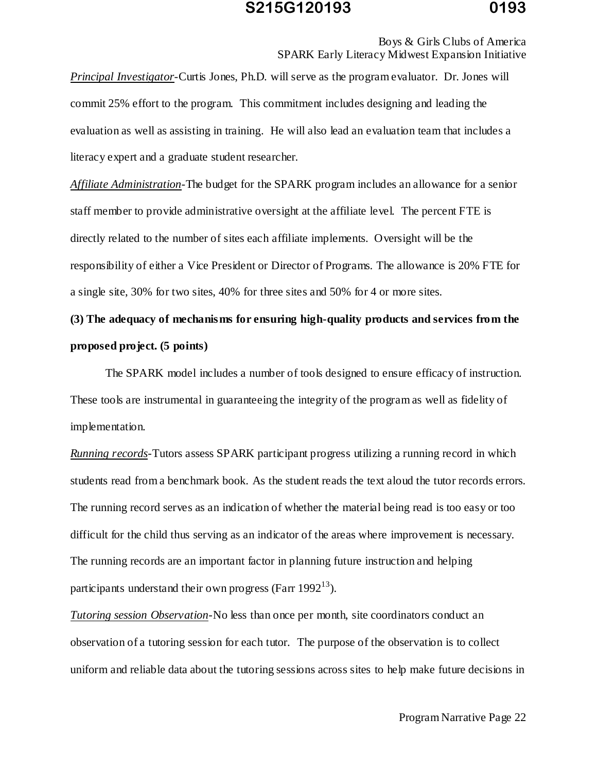Boys & Girls Clubs of America SPARK Early Literacy Midwest Expansion Initiative

*Principal Investigator*-Curtis Jones, Ph.D. will serve as the program evaluator. Dr. Jones will commit 25% effort to the program. This commitment includes designing and leading the evaluation as well as assisting in training. He will also lead an evaluation team that includes a literacy expert and a graduate student researcher.

*Affiliate Administration*-The budget for the SPARK program includes an allowance for a senior staff member to provide administrative oversight at the affiliate level. The percent FTE is directly related to the number of sites each affiliate implements. Oversight will be the responsibility of either a Vice President or Director of Programs. The allowance is 20% FTE for a single site, 30% for two sites, 40% for three sites and 50% for 4 or more sites.

**(3) The adequacy of mechanisms for ensuring high-quality products and services from the proposed project. (5 points)** 

The SPARK model includes a number of tools designed to ensure efficacy of instruction. These tools are instrumental in guaranteeing the integrity of the program as well as fidelity of implementation.

*Running records*-Tutors assess SPARK participant progress utilizing a running record in which students read from a benchmark book. As the student reads the text aloud the tutor records errors. The running record serves as an indication of whether the material being read is too easy or too difficult for the child thus serving as an indicator of the areas where improvement is necessary. The running records are an important factor in planning future instruction and helping participants understand their own progress (Farr  $1992^{13}$ ).

*Tutoring session Observation*-No less than once per month, site coordinators conduct an observation of a tutoring session for each tutor. The purpose of the observation is to collect uniform and reliable data about the tutoring sessions across sites to help make future decisions in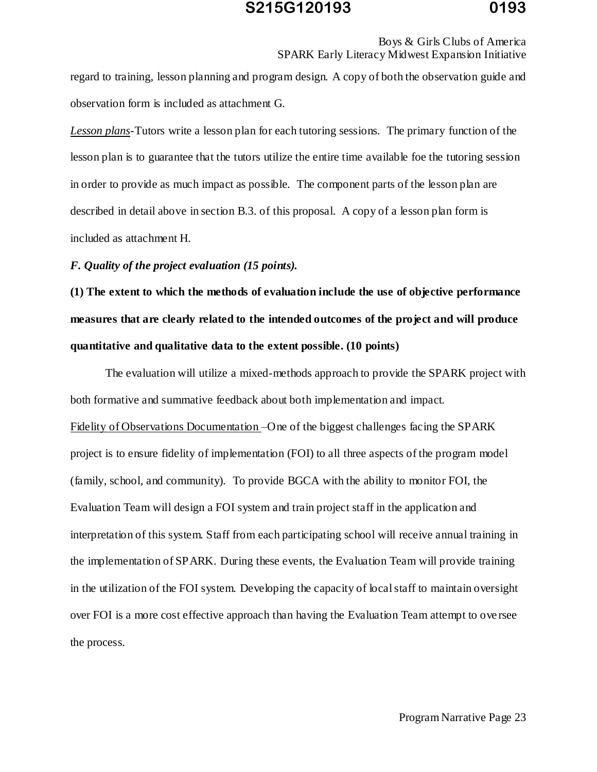#### Boys & Girls Clubs of America SPARK Early Literacy Midwest Expansion Initiative

regard to training, lesson planning and program design. A copy of both the observation guide and observation form is included as attachment G.

*Lesson plans*-Tutors write a lesson plan for each tutoring sessions. The primary function of the lesson plan is to guarantee that the tutors utilize the entire time available foe the tutoring session in order to provide as much impact as possible. The component parts of the lesson plan are described in detail above in section B.3. of this proposal. A copy of a lesson plan form is included as attachment H.

#### *F. Quality of the project evaluation (15 points).*

**(1) The extent to which the methods of evaluation include the use of objective performance measures that are clearly related to the intended outcomes of the project and will produce quantitative and qualitative data to the extent possible. (10 points)** 

The evaluation will utilize a mixed-methods approach to provide the SPARK project with both formative and summative feedback about both implementation and impact. Fidelity of Observations Documentation –One of the biggest challenges facing the SPARK project is to ensure fidelity of implementation (FOI) to all three aspects of the program model (family, school, and community). To provide BGCA with the ability to monitor FOI, the Evaluation Team will design a FOI system and train project staff in the application and interpretation of this system. Staff from each participating school will receive annual training in the implementation of SPARK. During these events, the Evaluation Team will provide training in the utilization of the FOI system. Developing the capacity of local staff to maintain oversight over FOI is a more cost effective approach than having the Evaluation Team attempt to ove rsee the process.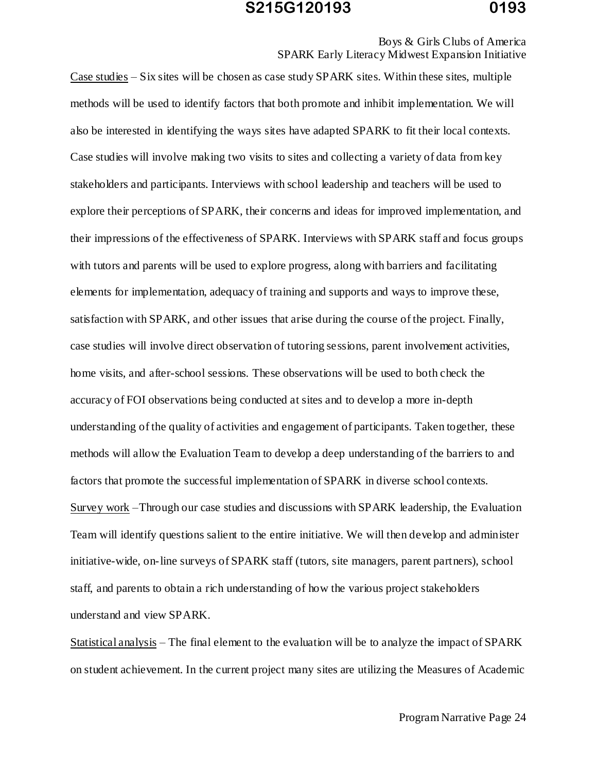Boys & Girls Clubs of America SPARK Early Literacy Midwest Expansion Initiative

Case studies – Six sites will be chosen as case study SPARK sites. Within these sites, multiple methods will be used to identify factors that both promote and inhibit implementation. We will also be interested in identifying the ways sites have adapted SPARK to fit their local contexts. Case studies will involve making two visits to sites and collecting a variety of data from key stakeholders and participants. Interviews with school leadership and teachers will be used to explore their perceptions of SPARK, their concerns and ideas for improved implementation, and their impressions of the effectiveness of SPARK. Interviews with SPARK staff and focus groups with tutors and parents will be used to explore progress, along with barriers and facilitating elements for implementation, adequacy of training and supports and ways to improve these, satisfaction with SPARK, and other issues that arise during the course of the project. Finally, case studies will involve direct observation of tutoring sessions, parent involvement activities, home visits, and after-school sessions. These observations will be used to both check the accuracy of FOI observations being conducted at sites and to develop a more in-depth understanding of the quality of activities and engagement of participants. Taken together, these methods will allow the Evaluation Team to develop a deep understanding of the barriers to and factors that promote the successful implementation of SPARK in diverse school contexts. Survey work –Through our case studies and discussions with SPARK leadership, the Evaluation Team will identify questions salient to the entire initiative. We will then develop and administer initiative-wide, on-line surveys of SPARK staff (tutors, site managers, parent partners), school staff, and parents to obtain a rich understanding of how the various project stakeholders understand and view SPARK.

Statistical analysis – The final element to the evaluation will be to analyze the impact of SPARK on student achievement. In the current project many sites are utilizing the Measures of Academic